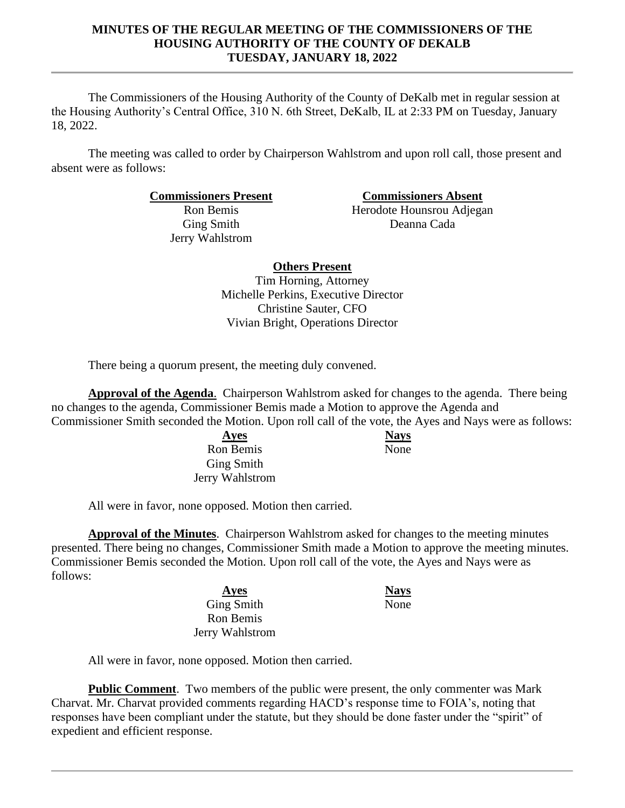### **MINUTES OF THE REGULAR MEETING OF THE COMMISSIONERS OF THE HOUSING AUTHORITY OF THE COUNTY OF DEKALB TUESDAY, JANUARY 18, 2022**

The Commissioners of the Housing Authority of the County of DeKalb met in regular session at the Housing Authority's Central Office, 310 N. 6th Street, DeKalb, IL at 2:33 PM on Tuesday, January 18, 2022.

The meeting was called to order by Chairperson Wahlstrom and upon roll call, those present and absent were as follows:

**Commissioners Present Commissioners Absent**

Ron Bemis Ging Smith Jerry Wahlstrom

Herodote Hounsrou Adjegan Deanna Cada

**Others Present**

Tim Horning, Attorney Michelle Perkins, Executive Director Christine Sauter, CFO Vivian Bright, Operations Director

There being a quorum present, the meeting duly convened.

**Approval of the Agenda**. Chairperson Wahlstrom asked for changes to the agenda. There being no changes to the agenda, Commissioner Bemis made a Motion to approve the Agenda and Commissioner Smith seconded the Motion. Upon roll call of the vote, the Ayes and Nays were as follows:

> **Ayes Nays** Ron Bemis Ging Smith Jerry Wahlstrom

None

All were in favor, none opposed. Motion then carried.

**Approval of the Minutes**. Chairperson Wahlstrom asked for changes to the meeting minutes presented. There being no changes, Commissioner Smith made a Motion to approve the meeting minutes. Commissioner Bemis seconded the Motion. Upon roll call of the vote, the Ayes and Nays were as follows:

> **Ayes Nays** Ging Smith Ron Bemis Jerry Wahlstrom

None

All were in favor, none opposed. Motion then carried.

**Public Comment**. Two members of the public were present, the only commenter was Mark Charvat. Mr. Charvat provided comments regarding HACD's response time to FOIA's, noting that responses have been compliant under the statute, but they should be done faster under the "spirit" of expedient and efficient response.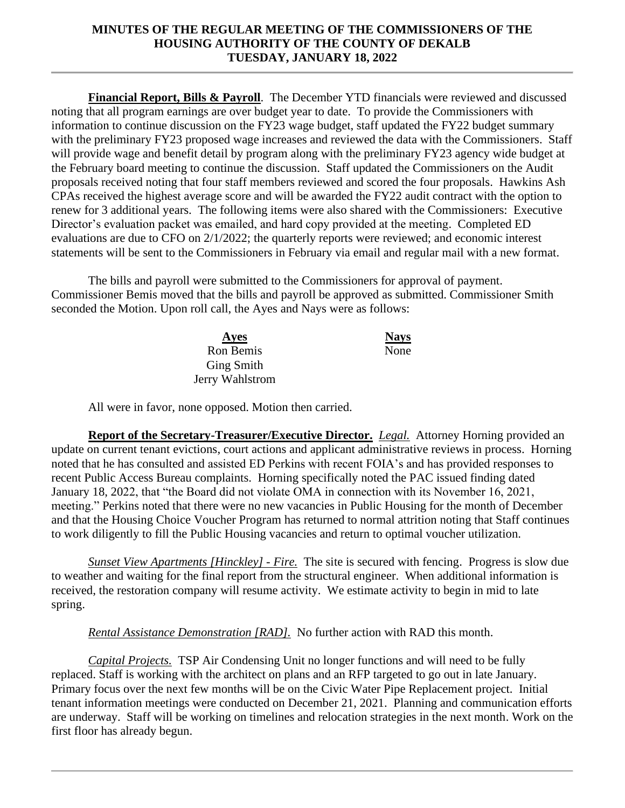### **MINUTES OF THE REGULAR MEETING OF THE COMMISSIONERS OF THE HOUSING AUTHORITY OF THE COUNTY OF DEKALB TUESDAY, JANUARY 18, 2022**

**Financial Report, Bills & Payroll**. The December YTD financials were reviewed and discussed noting that all program earnings are over budget year to date. To provide the Commissioners with information to continue discussion on the FY23 wage budget, staff updated the FY22 budget summary with the preliminary FY23 proposed wage increases and reviewed the data with the Commissioners. Staff will provide wage and benefit detail by program along with the preliminary FY23 agency wide budget at the February board meeting to continue the discussion. Staff updated the Commissioners on the Audit proposals received noting that four staff members reviewed and scored the four proposals. Hawkins Ash CPAs received the highest average score and will be awarded the FY22 audit contract with the option to renew for 3 additional years. The following items were also shared with the Commissioners: Executive Director's evaluation packet was emailed, and hard copy provided at the meeting. Completed ED evaluations are due to CFO on 2/1/2022; the quarterly reports were reviewed; and economic interest statements will be sent to the Commissioners in February via email and regular mail with a new format.

The bills and payroll were submitted to the Commissioners for approval of payment. Commissioner Bemis moved that the bills and payroll be approved as submitted. Commissioner Smith seconded the Motion. Upon roll call, the Ayes and Nays were as follows:

| Ayes              | <b>Nays</b> |
|-------------------|-------------|
| Ron Bemis         | None        |
| <b>Ging Smith</b> |             |
| Jerry Wahlstrom   |             |

All were in favor, none opposed. Motion then carried.

**Report of the Secretary-Treasurer/Executive Director.** *Legal.* Attorney Horning provided an update on current tenant evictions, court actions and applicant administrative reviews in process. Horning noted that he has consulted and assisted ED Perkins with recent FOIA's and has provided responses to recent Public Access Bureau complaints. Horning specifically noted the PAC issued finding dated January 18, 2022, that "the Board did not violate OMA in connection with its November 16, 2021, meeting." Perkins noted that there were no new vacancies in Public Housing for the month of December and that the Housing Choice Voucher Program has returned to normal attrition noting that Staff continues to work diligently to fill the Public Housing vacancies and return to optimal voucher utilization.

*Sunset View Apartments [Hinckley] - Fire.* The site is secured with fencing. Progress is slow due to weather and waiting for the final report from the structural engineer. When additional information is received, the restoration company will resume activity. We estimate activity to begin in mid to late spring.

*Rental Assistance Demonstration [RAD].* No further action with RAD this month.

*Capital Projects.* TSP Air Condensing Unit no longer functions and will need to be fully replaced. Staff is working with the architect on plans and an RFP targeted to go out in late January. Primary focus over the next few months will be on the Civic Water Pipe Replacement project. Initial tenant information meetings were conducted on December 21, 2021. Planning and communication efforts are underway. Staff will be working on timelines and relocation strategies in the next month. Work on the first floor has already begun.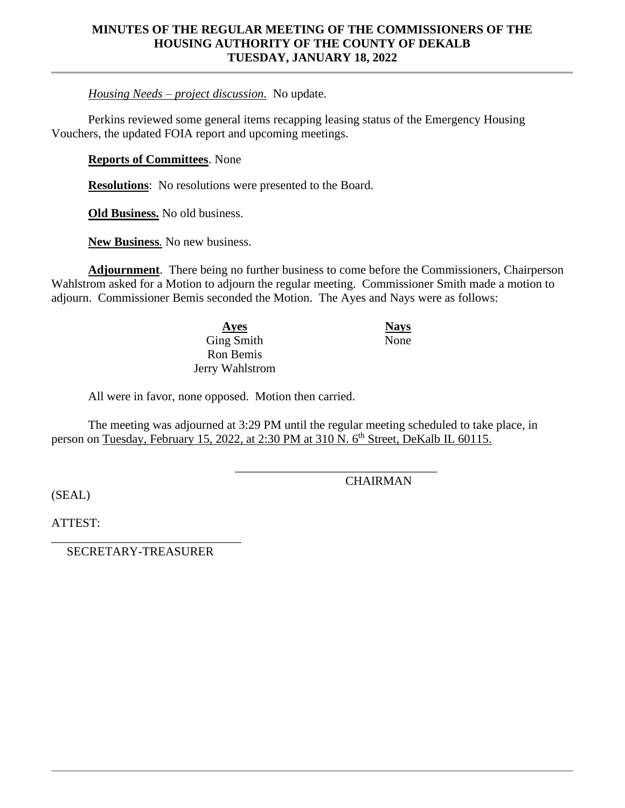#### **MINUTES OF THE REGULAR MEETING OF THE COMMISSIONERS OF THE HOUSING AUTHORITY OF THE COUNTY OF DEKALB TUESDAY, JANUARY 18, 2022**

*Housing Needs – project discussion.* No update.

Perkins reviewed some general items recapping leasing status of the Emergency Housing Vouchers, the updated FOIA report and upcoming meetings.

**Reports of Committees**. None

**Resolutions**: No resolutions were presented to the Board.

**Old Business.** No old business.

**New Business***.* No new business.

**Adjournment**. There being no further business to come before the Commissioners, Chairperson Wahlstrom asked for a Motion to adjourn the regular meeting. Commissioner Smith made a motion to adjourn. Commissioner Bemis seconded the Motion. The Ayes and Nays were as follows:

> **Ayes Nays** Ging Smith Ron Bemis Jerry Wahlstrom

All were in favor, none opposed. Motion then carried.

The meeting was adjourned at 3:29 PM until the regular meeting scheduled to take place, in person on Tuesday, February 15, 2022, at 2:30 PM at 310 N, 6<sup>th</sup> Street, DeKalb IL 60115.

**CHAIRMAN** 

\_\_\_\_\_\_\_\_\_\_\_\_\_\_\_\_\_\_\_\_\_\_\_\_\_\_\_\_\_\_\_\_\_

None

(SEAL)

ATTEST:

\_\_\_\_\_\_\_\_\_\_\_\_\_\_\_\_\_\_\_\_\_\_\_\_\_\_\_\_\_\_\_ SECRETARY-TREASURER